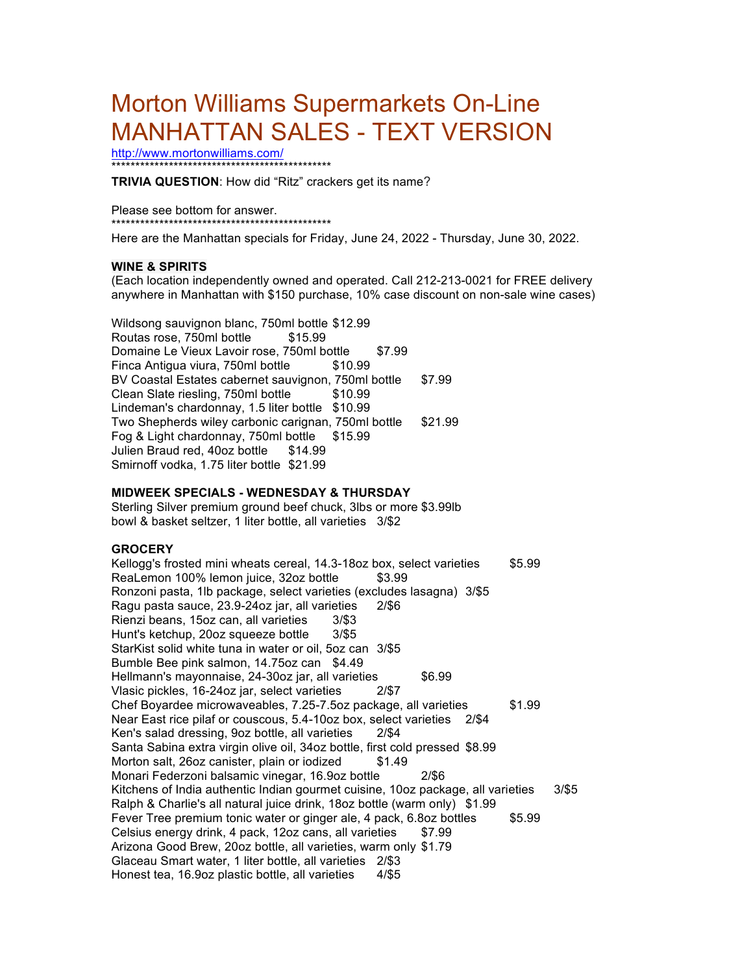# Morton Williams Supermarkets On-Line MANHATTAN SALES - TEXT VERSION

http://www.mortonwilliams.com/ \*\*\*\*\*\*\*\*\*\*\*\*\*\*\*\*\*\*\*\*\*\*\*\*\*\*\*\*\*\*\*\*\*\*\*\*\*\*\*\*\*\*\*\*\*\*

**TRIVIA QUESTION**: How did "Ritz" crackers get its name?

Please see bottom for answer. \*\*\*\*\*\*\*\*\*\*\*\*\*\*\*\*\*\*\*\*\*\*\*\*\*\*\*\*\*\*\*\*\*\*\*\*\*\*\*\*\*\*\*\*\*\*

Here are the Manhattan specials for Friday, June 24, 2022 - Thursday, June 30, 2022.

## **WINE & SPIRITS**

(Each location independently owned and operated. Call 212-213-0021 for FREE delivery anywhere in Manhattan with \$150 purchase, 10% case discount on non-sale wine cases)

Wildsong sauvignon blanc, 750ml bottle \$12.99 Routas rose, 750ml bottle \$15.99 Domaine Le Vieux Lavoir rose, 750ml bottle \$7.99 Finca Antigua viura, 750ml bottle \$10.99 BV Coastal Estates cabernet sauvignon, 750ml bottle \$7.99 Clean Slate riesling, 750ml bottle \$10.99 Lindeman's chardonnay, 1.5 liter bottle \$10.99 Two Shepherds wiley carbonic carignan, 750ml bottle \$21.99 Fog & Light chardonnay, 750ml bottle \$15.99 Julien Braud red, 40oz bottle \$14.99 Smirnoff vodka, 1.75 liter bottle \$21.99

## **MIDWEEK SPECIALS - WEDNESDAY & THURSDAY**

Sterling Silver premium ground beef chuck, 3lbs or more \$3.99lb bowl & basket seltzer, 1 liter bottle, all varieties 3/\$2

## **GROCERY**

Kellogg's frosted mini wheats cereal, 14.3-18oz box, select varieties \$5.99 ReaLemon 100% lemon juice, 32oz bottle \$3.99 Ronzoni pasta, 1lb package, select varieties (excludes lasagna) 3/\$5 Ragu pasta sauce, 23.9-24oz jar, all varieties 2/\$6 Rienzi beans, 15oz can, all varieties 3/\$3 Hunt's ketchup, 20oz squeeze bottle 3/\$5 StarKist solid white tuna in water or oil, 5oz can 3/\$5 Bumble Bee pink salmon, 14.75oz can \$4.49 Hellmann's mayonnaise, 24-30oz jar, all varieties \$6.99 Vlasic pickles, 16-24oz jar, select varieties 2/\$7 Chef Boyardee microwaveables, 7.25-7.5oz package, all varieties \$1.99 Near East rice pilaf or couscous, 5.4-10oz box, select varieties 2/\$4 Ken's salad dressing, 9oz bottle, all varieties 2/\$4 Santa Sabina extra virgin olive oil, 34oz bottle, first cold pressed \$8.99 Morton salt, 26oz canister, plain or iodized \$1.49 Monari Federzoni balsamic vinegar, 16.9oz bottle 2/\$6 Kitchens of India authentic Indian gourmet cuisine, 10oz package, all varieties 3/\$5 Ralph & Charlie's all natural juice drink, 18oz bottle (warm only) \$1.99 Fever Tree premium tonic water or ginger ale, 4 pack, 6.8oz bottles \$5.99 Celsius energy drink, 4 pack, 12oz cans, all varieties \$7.99 Arizona Good Brew, 20oz bottle, all varieties, warm only \$1.79 Glaceau Smart water, 1 liter bottle, all varieties 2/\$3 Honest tea, 16.9oz plastic bottle, all varieties 4/\$5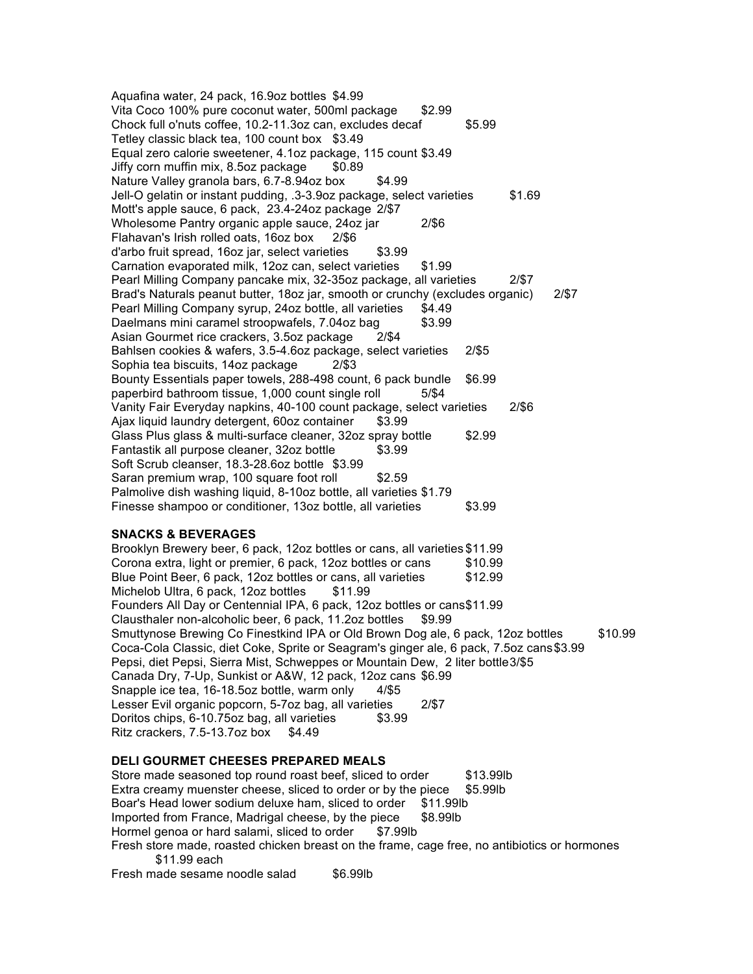Aquafina water, 24 pack, 16.9oz bottles \$4.99 Vita Coco 100% pure coconut water, 500ml package \$2.99 Chock full o'nuts coffee, 10.2-11.3oz can, excludes decaf \$5.99 Tetley classic black tea, 100 count box \$3.49 Equal zero calorie sweetener, 4.1oz package, 115 count \$3.49 Jiffy corn muffin mix, 8.5oz package \$0.89 Nature Valley granola bars, 6.7-8.94oz box \$4.99 Jell-O gelatin or instant pudding, .3-3.9oz package, select varieties \$1.69 Mott's apple sauce, 6 pack, 23.4-24oz package 2/\$7 Wholesome Pantry organic apple sauce, 24oz jar 2/\$6 Flahavan's Irish rolled oats, 16oz box 2/\$6 d'arbo fruit spread, 16oz jar, select varieties \$3.99 Carnation evaporated milk, 12oz can, select varieties \$1.99 Pearl Milling Company pancake mix, 32-35oz package, all varieties 2/\$7 Brad's Naturals peanut butter, 18oz jar, smooth or crunchy (excludes organic) 2/\$7 Pearl Milling Company syrup, 24oz bottle, all varieties \$4.49 Daelmans mini caramel stroopwafels, 7.04oz bag \$3.99 Asian Gourmet rice crackers, 3.5oz package 2/\$4 Bahlsen cookies & wafers, 3.5-4.6oz package, select varieties 2/\$5 Sophia tea biscuits, 14oz package 2/\$3 Bounty Essentials paper towels, 288-498 count, 6 pack bundle \$6.99 paperbird bathroom tissue, 1,000 count single roll 5/\$4 Vanity Fair Everyday napkins, 40-100 count package, select varieties 2/\$6 Ajax liquid laundry detergent, 60oz container \$3.99 Glass Plus glass & multi-surface cleaner, 32oz spray bottle \$2.99 Fantastik all purpose cleaner, 32oz bottle \$3.99 Soft Scrub cleanser, 18.3-28.6oz bottle \$3.99 Saran premium wrap, 100 square foot roll \$2.59 Palmolive dish washing liquid, 8-10oz bottle, all varieties \$1.79 Finesse shampoo or conditioner, 13oz bottle, all varieties \$3.99

## **SNACKS & BEVERAGES**

Brooklyn Brewery beer, 6 pack, 12oz bottles or cans, all varieties \$11.99 Corona extra, light or premier, 6 pack, 12oz bottles or cans \$10.99 Blue Point Beer, 6 pack, 12oz bottles or cans, all varieties \$12.99 Michelob Ultra, 6 pack, 12oz bottles \$11.99 Founders All Day or Centennial IPA, 6 pack, 12oz bottles or cans\$11.99 Clausthaler non-alcoholic beer, 6 pack, 11.2oz bottles \$9.99 Smuttynose Brewing Co Finestkind IPA or Old Brown Dog ale, 6 pack, 12oz bottles \$10.99 Coca-Cola Classic, diet Coke, Sprite or Seagram's ginger ale, 6 pack, 7.5oz cans\$3.99 Pepsi, diet Pepsi, Sierra Mist, Schweppes or Mountain Dew, 2 liter bottle3/\$5 Canada Dry, 7-Up, Sunkist or A&W, 12 pack, 12oz cans \$6.99 Snapple ice tea, 16-18.5oz bottle, warm only 4/\$5 Lesser Evil organic popcorn, 5-7oz bag, all varieties 2/\$7 Doritos chips, 6-10.75oz bag, all varieties \$3.99 Ritz crackers,  $7.5-13.7$ oz box  $$4.49$ 

### **DELI GOURMET CHEESES PREPARED MEALS**

Store made seasoned top round roast beef, sliced to order \$13.99lb Extra creamy muenster cheese, sliced to order or by the piece \$5.99lb Boar's Head lower sodium deluxe ham, sliced to order \$11.99lb Imported from France, Madrigal cheese, by the piece \$8.99lb Hormel genoa or hard salami, sliced to order \$7.99lb Fresh store made, roasted chicken breast on the frame, cage free, no antibiotics or hormones \$11.99 each Fresh made sesame noodle salad \$6.99lb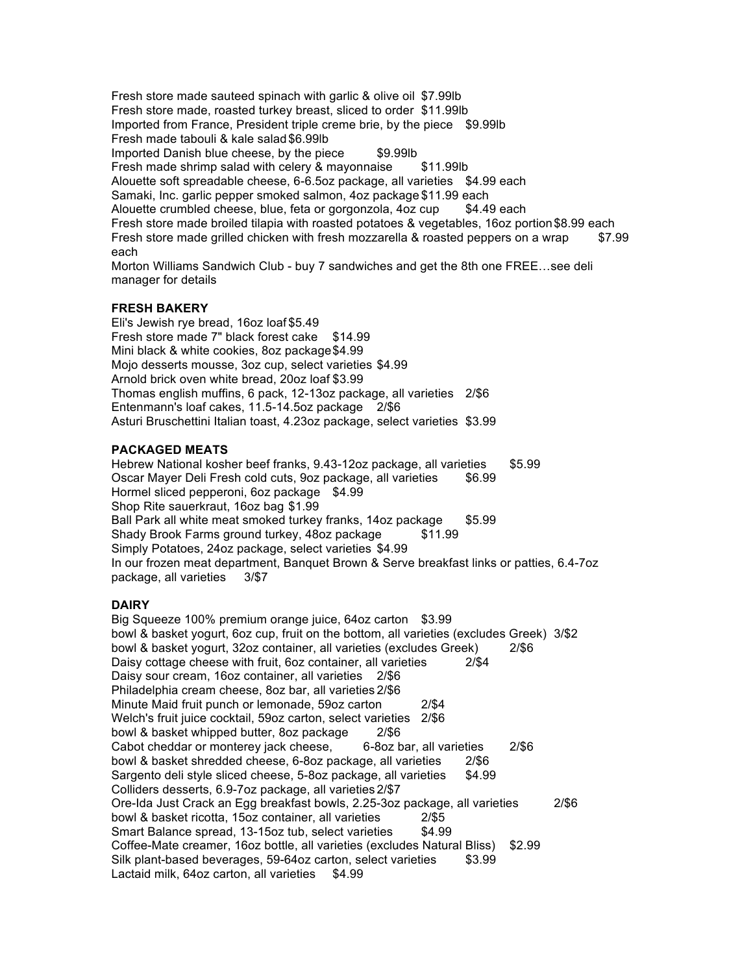Fresh store made sauteed spinach with garlic & olive oil \$7.99lb Fresh store made, roasted turkey breast, sliced to order \$11.99lb Imported from France, President triple creme brie, by the piece \$9.99lb Fresh made tabouli & kale salad\$6.99lb Imported Danish blue cheese, by the piece \$9.99lb Fresh made shrimp salad with celery & mayonnaise \$11.99lb Alouette soft spreadable cheese, 6-6.5oz package, all varieties \$4.99 each Samaki, Inc. garlic pepper smoked salmon, 4oz package \$11.99 each Alouette crumbled cheese, blue, feta or gorgonzola, 4oz cup \$4.49 each Fresh store made broiled tilapia with roasted potatoes & vegetables, 16oz portion\$8.99 each Fresh store made grilled chicken with fresh mozzarella & roasted peppers on a wrap \$7.99 each Morton Williams Sandwich Club - buy 7 sandwiches and get the 8th one FREE…see deli manager for details

## **FRESH BAKERY**

Eli's Jewish rye bread, 16oz loaf \$5.49 Fresh store made 7" black forest cake \$14.99 Mini black & white cookies, 8oz package\$4.99 Mojo desserts mousse, 3oz cup, select varieties \$4.99 Arnold brick oven white bread, 20oz loaf \$3.99 Thomas english muffins, 6 pack, 12-13oz package, all varieties 2/\$6 Entenmann's loaf cakes, 11.5-14.5oz package 2/\$6 Asturi Bruschettini Italian toast, 4.23oz package, select varieties \$3.99

# **PACKAGED MEATS**

Hebrew National kosher beef franks, 9.43-12oz package, all varieties \$5.99 Oscar Mayer Deli Fresh cold cuts, 9oz package, all varieties \$6.99 Hormel sliced pepperoni, 6oz package \$4.99 Shop Rite sauerkraut, 16oz bag \$1.99 Ball Park all white meat smoked turkey franks, 14oz package \$5.99<br>Shady Brook Farms ground turkey, 48oz package \$11.99 Shady Brook Farms ground turkey, 48oz package Simply Potatoes, 24oz package, select varieties \$4.99 In our frozen meat department, Banquet Brown & Serve breakfast links or patties, 6.4-7oz package, all varieties 3/\$7

# **DAIRY**

Big Squeeze 100% premium orange juice, 64oz carton \$3.99 bowl & basket yogurt, 6oz cup, fruit on the bottom, all varieties (excludes Greek) 3/\$2 bowl & basket yogurt, 32oz container, all varieties (excludes Greek) 2/\$6 Daisy cottage cheese with fruit, 6oz container, all varieties 2/\$4 Daisy sour cream, 16oz container, all varieties 2/\$6 Philadelphia cream cheese, 8oz bar, all varieties 2/\$6 Minute Maid fruit punch or lemonade, 59oz carton 2/\$4 Welch's fruit juice cocktail, 59oz carton, select varieties 2/\$6 bowl & basket whipped butter, 8oz package 2/\$6 Cabot cheddar or monterey jack cheese, 6-8oz bar, all varieties 2/\$6 bowl & basket shredded cheese, 6-8oz package, all varieties 2/\$6 Sargento deli style sliced cheese, 5-8oz package, all varieties \$4.99 Colliders desserts, 6.9-7oz package, all varieties 2/\$7 Ore-Ida Just Crack an Egg breakfast bowls, 2.25-3oz package, all varieties 2/\$6 bowl & basket ricotta, 15oz container, all varieties 2/\$5 Smart Balance spread, 13-15oz tub, select varieties \$4.99 Coffee-Mate creamer, 16oz bottle, all varieties (excludes Natural Bliss) \$2.99 Silk plant-based beverages, 59-64oz carton, select varieties \$3.99 Lactaid milk, 64oz carton, all varieties \$4.99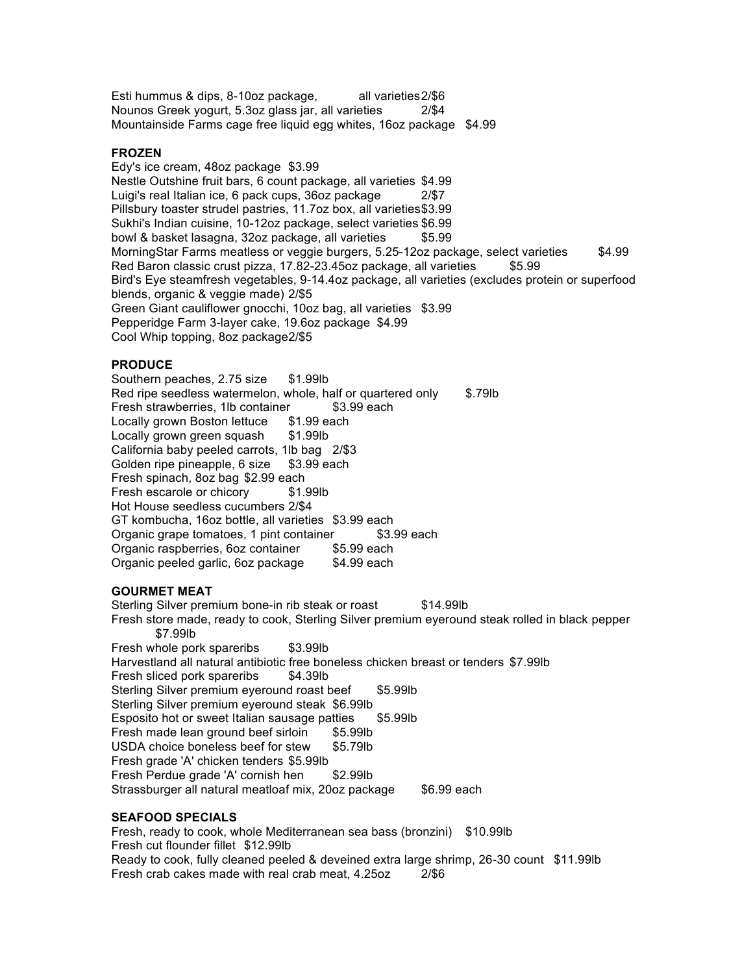Esti hummus & dips, 8-10oz package, all varieties 2/\$6 Nounos Greek yogurt, 5.3oz glass jar, all varieties 2/\$4 Mountainside Farms cage free liquid egg whites, 16oz package \$4.99

## **FROZEN**

Edy's ice cream, 48oz package \$3.99 Nestle Outshine fruit bars, 6 count package, all varieties \$4.99 Luigi's real Italian ice, 6 pack cups, 36oz package 2/\$7 Pillsbury toaster strudel pastries, 11.7oz box, all varieties\$3.99 Sukhi's Indian cuisine, 10-12oz package, select varieties \$6.99 bowl & basket lasagna, 32oz package, all varieties \$5.99 MorningStar Farms meatless or veggie burgers, 5.25-12oz package, select varieties \$4.99 Red Baron classic crust pizza, 17.82-23.45oz package, all varieties \$5.99 Bird's Eye steamfresh vegetables, 9-14.4oz package, all varieties (excludes protein or superfood blends, organic & veggie made) 2/\$5 Green Giant cauliflower gnocchi, 10oz bag, all varieties \$3.99 Pepperidge Farm 3-layer cake, 19.6oz package \$4.99 Cool Whip topping, 8oz package2/\$5

#### **PRODUCE**

Southern peaches, 2.75 size \$1.99lb Red ripe seedless watermelon, whole, half or quartered only \$.79lb Fresh strawberries, 1lb container \$3.99 each Locally grown Boston lettuce \$1.99 each Locally grown green squash \$1.99lb California baby peeled carrots, 1lb bag 2/\$3 Golden ripe pineapple, 6 size \$3.99 each Fresh spinach, 8oz bag \$2.99 each Fresh escarole or chicory \$1.99lb Hot House seedless cucumbers 2/\$4 GT kombucha, 16oz bottle, all varieties \$3.99 each<br>Organic grape tomatoes, 1 pint container \$3.99 each Organic grape tomatoes, 1 pint container Organic raspberries, 6oz container \$5.99 each Organic peeled garlic, 6oz package \$4.99 each

### **GOURMET MEAT**

Sterling Silver premium bone-in rib steak or roast \$14.99lb Fresh store made, ready to cook, Sterling Silver premium eyeround steak rolled in black pepper \$7.99lb Fresh whole pork spareribs \$3.99lb Harvestland all natural antibiotic free boneless chicken breast or tenders \$7.99lb Fresh sliced pork spareribs \$4.39lb Sterling Silver premium eyeround roast beef \$5.99lb Sterling Silver premium eyeround steak \$6.99lb Esposito hot or sweet Italian sausage patties \$5.99lb Fresh made lean ground beef sirloin \$5.99lb USDA choice boneless beef for stew \$5.79lb Fresh grade 'A' chicken tenders \$5.99lb Fresh Perdue grade 'A' cornish hen \$2.99lb Strassburger all natural meatloaf mix, 20oz package \$6.99 each

#### **SEAFOOD SPECIALS**

Fresh, ready to cook, whole Mediterranean sea bass (bronzini) \$10.99lb Fresh cut flounder fillet \$12.99lb Ready to cook, fully cleaned peeled & deveined extra large shrimp, 26-30 count \$11.99lb Fresh crab cakes made with real crab meat, 4.25oz 2/\$6